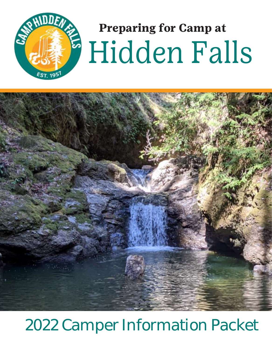

# **Preparing for Camp at** Hidden Falls



## 2022 Camper Information Packet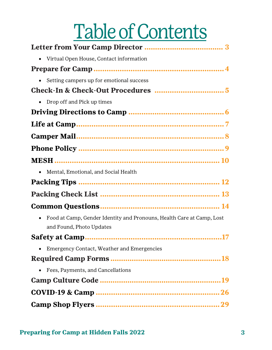# Table of Contents

| • Virtual Open House, Contact information                                                                      |
|----------------------------------------------------------------------------------------------------------------|
|                                                                                                                |
| • Setting campers up for emotional success                                                                     |
|                                                                                                                |
| • Drop off and Pick up times                                                                                   |
|                                                                                                                |
|                                                                                                                |
|                                                                                                                |
|                                                                                                                |
|                                                                                                                |
| Mental, Emotional, and Social Health                                                                           |
|                                                                                                                |
|                                                                                                                |
|                                                                                                                |
| Food at Camp, Gender Identity and Pronouns, Health Care at Camp, Lost<br>$\bullet$<br>and Found, Photo Updates |
|                                                                                                                |
| Emergency Contact, Weather and Emergencies                                                                     |
|                                                                                                                |
| • Fees, Payments, and Cancellations                                                                            |
|                                                                                                                |
|                                                                                                                |
|                                                                                                                |
|                                                                                                                |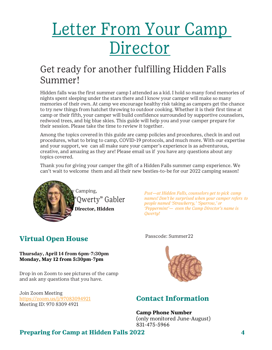## Letter From Your Camp **Director**

## Get ready for another fulfilling Hidden Falls Summer!

Hidden falls was the first summer camp I attended as a kid. I hold so many fond memories of nights spent sleeping under the stars there and I know your camper will make so many memories of their own. At camp we encourage healthy risk taking as campers get the chance to try new things from hatchet throwing to outdoor cooking. Whether it is their first time at camp or their fifth, your camper will build confidence surrounded by supportive counselors, redwood trees, and big blue skies. This guide will help you and your camper prepare for their session. Please take the time to review it together.

Among the topics covered in this guide are camp policies and procedures, check in and out procedures, what to bring to camp, COVID-19 protocols, and much more. With our expertise and your support, we can all make sure your camper's experience is as adventurous, creative, and amazing as they are! Please email us if you have any questions about any topics covered.

Thank you for giving your camper the gift of a Hidden Falls summer camp experience. We can't wait to welcome them and all their new besties-to-be for our 2022 camping season!



*Psst—at Hidden Falls, counselors get to pick camp names! Don't be surprised when your camper refers to people named 'Strawberry,' 'Sparrow,' or 'Peppermint'— even the Camp Director's name is Qwerty!*

## **Virtual Open House**

**Thursday, April 14 from 6pm-7:30pm Monday, May 12 from 5:30pm-7pm**

Drop in on Zoom to see pictures of the camp and ask any questions that you have.

Join Zoom Meeting <https://zoom.us/j/97083094921> Meeting ID: 970 8309 4921





## **Contact Information**

#### **Camp Phone Number**

(only monitored June-August) 831-475-5966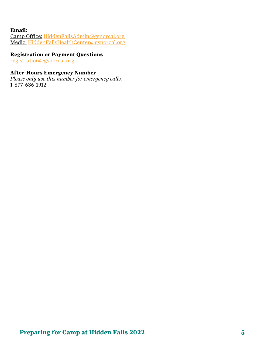#### **Email:**

Camp Office: [HiddenFallsAdmin@gsnorcal.org](mailto:HiddenFallsAdmin@gsnorcal.org)  Medic: [HiddenFallsHealthCenter@gsnorcal.org](mailto:HiddenFallsHealthCenter@gsnorcal.org)

#### **Registration or Payment Questions**

[registration@gsnorcal.org](mailto:registration@gsnorcal.org)

#### **After-Hours Emergency Number**

*Please only use this number for emergency calls.*  1-877-636-1912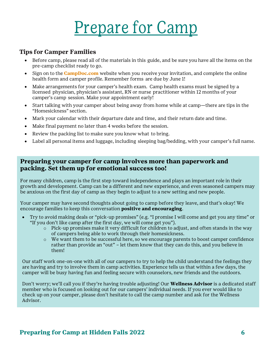## Prepare for Camp

#### **Tips for Camper Families**

- Before camp, please read all of the materials in this guide, and be sure you have all the items on the pre-camp checklist ready to go.
- Sign on to the **CampDoc.com** website when you receive your invitation, and complete the online health form and camper profile. Remember forms are due by June 1!
- Make arrangements for your camper's health exam. Camp health exams must be signed by a licensed physician, physician's assistant, RN or nurse practitioner within 12 months of your camper's camp session. Make your appointment early!
- Start talking with your camper about being away from home while at camp—there are tips in the "Homesickness" section.
- Mark your calendar with their departure date and time, and their return date and time.
- Make final payment no later than 4 weeks before the session.
- Review the packing list to make sure you know what to bring.
- Label all personal items and luggage, including sleeping bag/bedding, with your camper's full name.

#### **Preparing your camper for camp involves more than paperwork and packing. Set them up for emotional success too!**

For many children, camp is the first step toward independence and plays an important role in their growth and development. Camp can be a different and new experience, and even seasoned campers may be anxious on the first day of camp as they begin to adjust to a new setting and new people.

Your camper may have second thoughts about going to camp before they leave, and that's okay! We encourage families to keep this conversation **positive and encouraging**.

- Try to avoid making deals or "pick-up promises" (e.g. "I promise I will come and get you any time" or "If you don't like camp after the first day, we will come get you").
	- o Pick-up promises make it very difficult for children to adjust, and often stands in the way of campers being able to work through their homesickness.
	- o We want them to be successful here, so we encourage parents to boost camper confidence rather than provide an "out" – let them know that they can do this, and you believe in them!

Our staff work one-on-one with all of our campers to try to help the child understand the feelings they are having and try to involve them in camp activities. Experience tells us that within a few days, the camper will be busy having fun and feeling secure with counselors, new friends and the outdoors.

Don't worry; we'll call you if they're having trouble adjusting! Our **Wellness Advisor** is a dedicated staff member who is focused on looking out for our campers' individual needs. If you ever would like to check up on your camper, please don't hesitate to call the camp number and ask for the Wellness Advisor.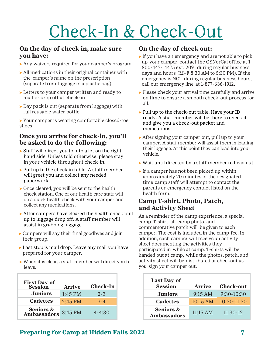## Check-In & Check-Out

#### **On the day of check in, make sure you have:**

- ⇨ Any waivers required for your camper's program
- ⇨ All medications in their original container with the camper's name on the prescription (separate from luggage in a plastic bag)
- ⇨ Letters to your camper written and ready to mail or drop off at check-in
- ⇨ Day pack is out (separate from luggage) with full reusable water bottle

⇨ Your camper is wearing comfortable closed-toe shoes

#### **Once you arrive for check-in, you'll be asked to do the following:**

- ⇨ Staff will direct you to into a lot on the righthand side. Unless told otherwise, please stay in your vehicle throughout check-in.
- ▶ Pull up to the check in table. A staff member will greet you and collect any needed paperwork.
- ⇨ Once cleared, you will be sent to the health check station. One of our health care staff will do a quick health check with your camper and collect any medications.
- ⇨ After campers have cleared the health check pull up to luggage drop off. A staff member will assist in grabbing luggage.
- ⇨ Campers will say their final goodbyes and join their group.
- ⇨ Last stop is mail drop. Leave any mail you have prepared for your camper.
- ⇨ When it is clear, a staff member will direct you to leave.

| <b>First Day of<br/>Session</b>          | <b>Arrive</b> | <b>Check-In</b> | <b>Last Day of</b><br><b>Session</b> |
|------------------------------------------|---------------|-----------------|--------------------------------------|
| <b>Juniors</b>                           | $1:45$ PM     | $2 - 3$         | <b>Juniors</b>                       |
| <b>Cadettes</b>                          | $2:45$ PM     | $3 - 4$         | <b>Cadettes</b>                      |
| <b>Seniors &amp; Ambassadors</b> 3:45 PM |               | $4 - 4:30$      | <b>Seniors &amp;</b><br>Ambassador   |

#### **On the day of check out:**

- ⇨ If you have an emergency and are not able to pick up your camper, contact the GSNorCal office at 1- 800-447- 4475 ext. 2091 during regular business days and hours (M–F 8:30 AM to 5:30 PM). If the emergency is NOT during regular business hours, call our emergency line at 1-877-636-1912.
- ⇨ Please check your arrival time carefully and arrive on time to ensure a smooth check-out process for all.
- ⇨ Pull up to the check-out table. Have your ID ready. A staff member will be there to check it and give you a check-out packet and medications.
- ⇨ After signing your camper out, pull up to your camper. A staff member will assist them in loading their luggage. At this point they can load into your vehicle.
- ⇨ Wait until directed by a staff member to head out.
- $\triangleright$  If a camper has not been picked up within approximately 20 minutes of the designated time camp staff will attempt to contact the parents or emergency contact listed on the health form.

#### **Camp T-shirt, Photo, Patch, and Activity Sheet**

As a reminder of the camp experience, a special camp T-shirt, all-camp photo, and commemorative patch will be given to each camper. The cost is included in the camp fee. In addition, each camper will receive an activity sheet documenting the activities they participated in while at camp. T-shirts will be handed out at camp, while the photos, patch, and activity sheet will be distributed at checkout as you sign your camper out.

| rst Day of<br>Session               | <b>Arrive</b> | <b>Check-In</b> | <b>Last Day of</b><br><b>Session</b>       | <b>Arrive</b>      | <b>Check-out</b> |
|-------------------------------------|---------------|-----------------|--------------------------------------------|--------------------|------------------|
| <b>Juniors</b>                      | 1:45 PM       | $2 - 3$         | <b>Juniors</b>                             | 9:15 AM            | 9:30-10:30       |
| <b>Cadettes</b>                     | $2:45$ PM     | $3 - 4$         | <b>Cadettes</b>                            | $10:15$ AM         | $10:30-11:30$    |
| <b>Seniors &amp;<br/>nbassadors</b> | 3:45 PM       | $4 - 4:30$      | <b>Seniors &amp;</b><br><b>Ambassadors</b> | $11:15 \text{ AM}$ | $11:30-12$       |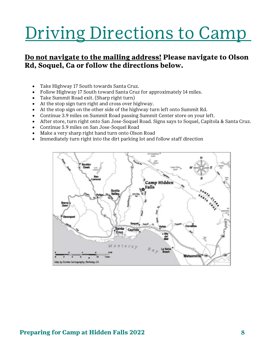## Driving Directions to Camp

## **Do not navigate to the mailing address! Please navigate to Olson Rd, Soquel, Ca or follow the directions below.**

- Take Highway 17 South towards Santa Cruz.
- Follow Highway 17 South toward Santa Cruz for approximately 14 miles.
- Take Summit Road exit. (Sharp right turn)
- At the stop sign turn right and cross over highway.
- At the stop sign on the other side of the highway turn left onto Summit Rd.
- Continue 3.9 miles on Summit Road passing Summit Center store on your left.
- After store, turn right onto San Jose-Soquel Road. Signs says to Soquel, Capitola & Santa Cruz.
- Continue 5.9 miles on San Jose-Soquel Road
- Make a very sharp right hand turn onto Olson Road
- Immediately turn right into the dirt parking lot and follow staff direction

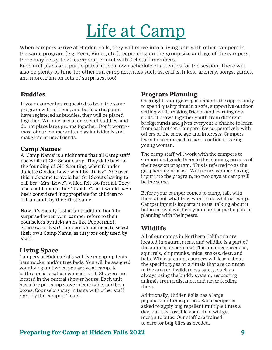## Life at Camp

When campers arrive at Hidden Falls, they will move into a living unit with other campers in the same program (e.g. Fern, Violet, etc.). Depending on the group size and age of the campers, there may be up to 20 campers per unit with 3-4 staff members.

Each unit plans and participates in their own schedule of activities for the session. There will also be plenty of time for other fun camp activities such as, crafts, hikes, archery, songs, games, and more. Plan on lots of surprises, too!

### **Buddies**

If your camper has requested to be in the same program with a friend, and both participants have registered as buddies, they will be placed together. We only accept one set of buddies, and do not place large groups together. Don't worry- most of our campers attend as individuals and make lots of new friends.

#### **Camp Names**

A 'Camp Name' is a nickname that all Camp staff use while at Girl Scout camp. They date back to the founding of Girl Scouting, when founder Juliette Gordon Lowe went by "Daisy". She used this nickname to avoid her Girl Scouts having to call her "Mrs. Lowe", which felt too formal. They also could not call her "Juliette", as it would have been considered inappropriate for children to call an adult by their first name.

Now, it's mostly just a fun tradition. Don't be surprised when your camper refers to their counselors by nicknames like Peppermint, Sparrow, or Bear! Campers do not need to select their own Camp Name, as they are only used by staff.

## **Living Space**

Campers at Hidden Falls will live in pop-up tents, hammocks, and/or tree beds. You will be assigned your living unit when you arrive at camp. A bathroom is located near each unit. Showers are located in the central shower house. Each unit has a fire pit, camp stove, picnic table, and bear boxes. Counselors stay in tents with other staff right by the campers' tents.

#### **Program Planning**

Overnight camp gives participants the opportunity to spend quality time in a safe, supportive outdoor setting while making friends and learning new skills. It draws together youth from different backgrounds and gives everyone a chance to learn from each other. Campers live cooperatively with others of the same age and interests. Campers learn to become self-reliant, confident, caring young women.

The camp staff will work with the campers to support and guide them in the planning process of their session program. This is referred to as the girl planning process. With every camper having input into the program, no two days at camp will be the same.

Before your camper comes to camp, talk with them about what they want to do while at camp. Camper input is important to us; talking about it before arrival will help your camper participate in planning with their peers.

## **Wildlife**

All of our camps in Northern California are located in natural areas, and wildlife is a part of the outdoor experience! This includes raccoons, squirrels, chipmunks, mice, snakes, deer, and bats. While at camp, campers will learn about the specific types of animals that are common to the area and wilderness safety, such as always using the buddy system, respecting animals from a distance, and never feeding them.

Additionally, Hidden Falls has a large population of mosquitoes. Each camper is asked to apply bug repellent multiple times a day, but it is possible your child will get mosquito bites. Our staff are trained to care for bug bites as needed.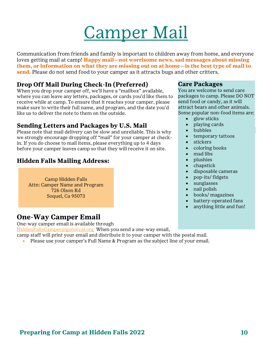## Camper Mail

<span id="page-8-0"></span>Communication from friends and family is important to children away from home, and everyone loves getting mail at camp! **Happy mail—not worrisome news, sad messages about missing them, or information on what they are missing out on at home—is the best type of mail to send.** Please do not send food to your camper as it attracts bugs and other critters.

### **Drop Off Mail During Check-In (Preferred)**

When you drop your camper off, we'll have a "mailbox" available, where you can leave any letters, packages, or cards you'd like them to receive while at camp. To ensure that it reaches your camper, please make sure to write their full name, and program, and the date you'd like us to deliver the note to them on the outside.

### **Sending Letters and Packages by U.S. Mail**

Please note that mail delivery can be slow and unreliable. This is why we strongly encourage dropping off "mail" for your camper at checkin. If you do choose to mail items, please everything up to 4 days before your camper leaves camp so that they will receive it on site.

### **Hidden Falls Mailing Address:**

Camp Hidden Falls Attn: Camper Name and Program 726 Olson Rd Soquel, Ca 95073

## **One-Way Camper Email**

One-way camper email is available through

[HiddenFallsCamper@gsnorcal.org](mailto:HiddenFallsCamper@gsnorcal.org) When you send a one-way email,

camp staff will print your email and distribute it to your camper with the postal mail.

• Please use your camper's Full Name & Program as the subject line of your email.

#### **Care Packages**

You are welcome to send care packages to camp. Please DO NOT send food or candy, as it will attract bears and other animals. Some popular non-food items are:

- glow sticks
- playing cards
- bubbles
- temporary tattoos
- stickers
- coloring books
- mad libs
- plushies
- chapstick
- disposable cameras
- pop-its/ fidgets
- sunglasses
- nail polish
- books/ magazines
- battery-operated fans
- anything little and fun!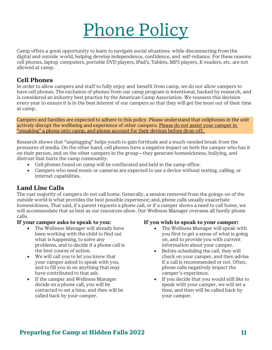## Phone Policy

Camp offers a great opportunity to learn to navigate social situations while disconnecting from the digital and outside world, helping develop independence, confidence, and self-reliance. For these reasons cell phones, laptop computers, portable DVD players, iPad's, Tablets, MP3 players, E-readers, etc. are not allowed at camp.

#### **Cell Phones**

In order to allow campers and staff to fully enjoy and benefit from camp, we do not allow campers to have cell phones. The exclusion of phones from our camp program is intentional, backed by research, and is considered an industry best practice by the American Camp Association. We reassess this decision every year to ensure it is in the best interest of our campers so that they will get the most out of their time at camp.

Campers and families are expected to adhere to this policy. Please understand that cellphones in the unit actively disrupt the wellbeing and experience of other campers. Please do not assist your camper in "sneaking" a phone onto camp, and please account for their devices before drop-off.

Research shows that "unplugging" helps youth to gain fortitude and a much-needed break from the pressures of media. On the other hand, cell phones have a negative impact on both the camper who has it on their person, and on the other campers in the group—they generate homesickness, bullying, and distrust that hurts the camp community.

- Cell phones found on camp will be confiscated and held in the camp office.
- Campers who need music or cameras are expected to use a device without texting, calling, or internet capabilities.

## **Land Line Calls**

The vast majority of campers do not call home. Generally, a session removed from the goings-on of the outside world is what provides the best possible experience; and, phone calls usually exacerbate homesickness. That said, if a parent requests a phone call, or if a camper shows a need to call home, we will accommodate that as best as our resources allow. Our Wellness Manager oversees all family phone calls.

#### **If your camper asks to speak to you:**

- The Wellness Manager will already have been working with the child to find out what is happening, to solve any problems, and to decide if a phone call is the best course of action.
- We will call you to let you know that your camper asked to speak with you, and to fill you in on anything that may have contributed to that ask.
- If the camper and Wellness Manager decide on a phone call, you will be contacted to set a time, and then will be called back by your camper.

#### **If you wish to speak to your camper:**

- The Wellness Manager will speak with you first to get a sense of what is going on, and to provide you with current information about your camper.
- Before scheduling the call, they will check on your camper, and then advise if a call is recommended or not. Often, phone calls negatively impact the camper's experience.
- If you decide that you would still like to speak with your camper, we will set a time, and then will be called back by your camper.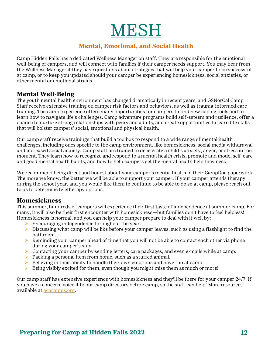MESH

#### **Mental, Emotional, and Social Health**

Camp Hidden Falls has a dedicated Wellness Manager on staff. They are responsible for the emotional well-being of campers, and will connect with families if their camper needs support. You may hear from the Wellness Manager if they have questions about strategies that will help your camper to be successful at camp, or to keep you updated should your camper be experiencing homesickness, social anxieties, or other mental or emotional strains.

#### **Mental Well-Being**

The youth mental health environment has changed dramatically in recent years, and GSNorCal Camp Staff receive extensive training on camper risk factors and behaviors, as well as trauma-informed care training. The camp experience offers many opportunities for campers to find new coping tools and to learn how to navigate life's challenges. Camp adventure programs build self-esteem and resilience, offer a chance to nurture strong relationships with peers and adults, and create opportunities to learn life skills that will bolster campers' social, emotional and physical health.

Our camp staff receive trainings that build a toolbox to respond to a wide range of mental health challenges, including ones specific to the camp environment, like homesickness, social media withdrawal and increased social anxiety. Camp staff are trained to decelerate a child's anxiety, anger, or stress in the moment. They learn how to recognize and respond to a mental health crisis, promote and model self-care and good mental health habits, and how to help campers get the mental health help they need.

We recommend being direct and honest about your camper's mental health in their CampDoc paperwork. The more we know, the better we will be able to support your camper. If your camper attends therapy during the school year, and you would like them to continue to be able to do so at camp, please reach out to us to determine teletherapy options.

#### **Homesickness**

This summer, hundreds of campers will experience their first taste of independence at summer camp. For many, it will also be their first encounter with homesickness—but families don't have to feel helpless! Homesickness is normal, and you can help your camper prepare to deal with it well by:

- $\triangleright$  Encouraging independence throughout the year.
- $\triangleright$  Discussing what camp will be like before your camper leaves, such as using a flashlight to find the bathroom.
- $\triangleright$  Reminding your camper ahead of time that you will not be able to contact each other via phone during your camper's stay.
- ➢ Contacting your camper by sending letters, care packages, and even e-mails while at camp.
- $\triangleright$  Packing a personal item from home, such as a stuffed animal.
- $\triangleright$  Believing in their ability to handle their own emotions and have fun at camp.
- $\triangleright$  Being visibly excited for them, even though you might miss them as much or more!

Our camp staff has extensive experience with homesickness and they'll be there for your camper 24/7. If you have a concern, voice it to our camp directors before camp, so the staff can help! More resources available at [acacamps.org.](file:///C:/Users/kconnon/Desktop/Camp%202021/Info%20Packets/acacamps.org)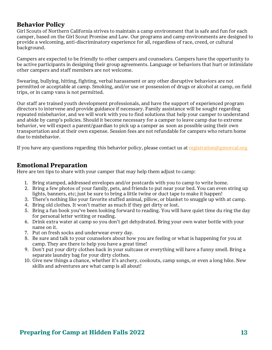#### **Behavior Policy**

Girl Scouts of Northern California strives to maintain a camp environment that is safe and fun for each camper, based on the Girl Scout Promise and Law. Our programs and camp environments are designed to provide a welcoming, anti-discriminatory experience for all, regardless of race, creed, or cultural background.

Campers are expected to be friendly to other campers and counselors. Campers have the opportunity to be active participants in designing their group agreements. Language or behaviors that hurt or intimidate other campers and staff members are not welcome.

Swearing, bullying, hitting, fighting, verbal harassment or any other disruptive behaviors are not permitted or acceptable at camp. Smoking, and/or use or possession of drugs or alcohol at camp, on field trips, or in camp vans is not permitted.

Our staff are trained youth development professionals, and have the support of experienced program directors to intervene and provide guidance if necessary. Family assistance will be sought regarding repeated misbehavior, and we will work with you to find solutions that help your camper to understand and abide by camp's policies. Should it become necessary for a camper to leave camp due to extreme behavior, we will expect a parent/guardian to pick up a camper as soon as possible using their own transportation and at their own expense. Session fees are not refundable for campers who return home due to misbehavior.

If you have any questions regarding this behavior policy, please contact us a[t registration@gsnorcal.org.](mailto:registration@gsnorcal.org)

#### **Emotional Preparation**

Here are ten tips to share with your camper that may help them adjust to camp:

- 1. Bring stamped, addressed envelopes and/or postcards with you to camp to write home.
- 2. Bring a few photos of your family, pets, and friends to put near your bed. You can even string up lights, banners, etc; just be sure to bring a little twine or duct tape to make it happen!
- 3. There's nothing like your favorite stuffed animal, pillow, or blanket to snuggle up with at camp.
- 4. Bring old clothes. It won't matter as much if they get dirty or lost.
- 5. Bring a fun book you've been looking forward to reading. You will have quiet time du ring the day for personal letter writing or reading.
- 6. Drink extra water at camp so you don't get dehydrated. Bring your own water bottle with your name on it.
- 7. Put on fresh socks and underwear every day.
- 8. Be sure and talk to your counselors about how you are feeling or what is happening for you at camp. They are there to help you have a great time!
- 9. Don't put your dirty clothes back in your suitcase or everything will have a funny smell. Bring a separate laundry bag for your dirty clothes.
- 10. Give new things a chance, whether it's archery, cookouts, camp songs, or even a long hike. New skills and adventures are what camp is all about!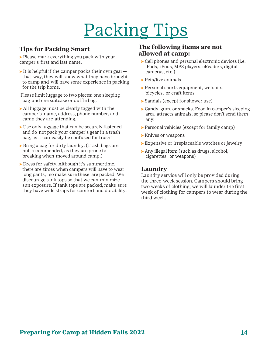## Packing Tips

## **Tips for Packing Smart**

⇨ Please mark everything you pack with your camper's first and last name.

- It is helpful if the camper packs their own gearthat way, they will know what they have brought to camp and will have some experience in packing for the trip home.
- Please limit luggage to two pieces: one sleeping bag and one suitcase or duffle bag.
- ⇨ All luggage must be clearly tagged with the camper's name, address, phone number, and camp they are attending.
- ► Use only luggage that can be securely fastened and do not pack your camper's gear in a trash bag, as it can easily be confused for trash!
- ⇨ Bring a bag for dirty laundry. (Trash bags are not recommended, as they are prone to breaking when moved around camp.)
- ⇨ Dress for safety. Although it's summertime, there are times when campers will have to wear long pants, so make sure these are packed. We discourage tank tops so that we can minimize sun exposure. If tank tops are packed, make sure they have wide straps for comfort and durability.

#### **The following items are not allowed at camp:**

- ⇨ Cell phones and personal electronic devices (i.e. iPads, iPods, MP3 players, eReaders, digital cameras, etc.)
- ▶ Pets/live animals
- ⇨ Personal sports equipment, wetsuits, bicycles, or craft items
- ⇨ Sandals (except for shower use)
- ⇨ Candy, gum, or snacks. Food in camper's sleeping area attracts animals, so please don't send them any!
- ⇨ Personal vehicles (except for family camp)
- ▶ Knives or weapons
- ⇨ Expensive or irreplaceable watches or jewelry
- ⇨ Any illegal item (such as drugs, alcohol, cigarettes, or weapons)

#### **Laundry**

Laundry service will only be provided during the three-week session. Campers should bring two weeks of clothing; we will launder the first week of clothing for campers to wear during the third week.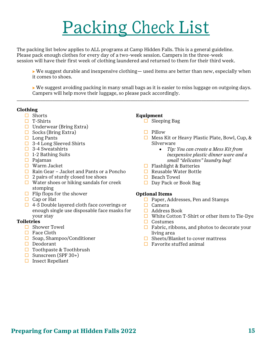## Packing Check List

The packing list below applies to ALL programs at Camp Hidden Falls. This is a general guideline. Please pack enough clothes for every day of a two-week session. Campers in the three-week session will have their first week of clothing laundered and returned to them for their third week.

 $\triangleright$  We suggest durable and inexpensive clothing— used items are better than new, especially when it comes to shoes.

⇨ We suggest avoiding packing in many small bags as it is easier to miss luggage on outgoing days. Campers will help move their luggage, so please pack accordingly.

\_\_\_\_\_\_\_\_\_\_\_\_\_\_\_\_\_\_\_\_\_\_\_\_\_\_\_\_\_\_\_\_\_\_\_\_\_\_\_\_\_\_\_\_\_\_\_\_\_\_\_\_\_\_\_\_\_\_\_\_\_\_\_\_\_\_\_\_\_\_\_\_\_\_\_\_\_\_\_\_\_\_\_\_\_\_\_\_\_\_\_\_\_\_\_\_\_\_

#### **Clothing**

- $\Box$  Shorts
- $\Box$  T-Shirts
- $\Box$  Underwear (Bring Extra)
- $\Box$  Socks (Bring Extra)
- $\Box$  Long Pants
- $\Box$  3-4 Long Sleeved Shirts
- $\Box$  3-4 Sweatshirts
- $\Box$  1-2 Bathing Suits
- $\Box$  Pajamas
- Warm Jacket
- $\Box$  Rain Gear Jacket and Pants or a Poncho
- $\Box$  2 pairs of sturdy closed toe shoes
- $\Box$  Water shoes or hiking sandals for creek stomping
- $\Box$  Flip flops for the shower
- $\Box$  Cap or Hat
- $\Box$  4-5 Double layered cloth face coverings or enough single use disposable face masks for your stay

#### **Toiletries**

- □ Shower Towel
- $\Box$  Face Cloth
- $\Box$  Soap, Shampoo/Conditioner
- $\Box$  Deodorant
- $\Box$  Toothpaste & Toothbrush
- $\Box$  Sunscreen (SPF 30+)
- $\Box$  Insect Repellant

#### **Equipment**

- $\Box$  Sleeping Bag
- $\Box$  Pillow
- $\Box$  Mess Kit or Heavy Plastic Plate, Bowl, Cup, & Silverware
	- *Tip: You can create a Mess Kit from inexpensive plastic dinner ware and a small "delicates" laundry bag*!
- $\Box$  Flashlight & Batteries
- $\Box$  Reusable Water Bottle
- $\Box$  Beach Towel
- $\Box$  Day Pack or Book Bag

#### **Optional Items**

- $\Box$  Paper, Addresses, Pen and Stamps
- $\Box$  Camera
- $\Box$  Address Book
- $\Box$  White Cotton T-Shirt or other item to Tie-Dye
- $\Box$  Costumes
- $\Box$  Fabric, ribbons, and photos to decorate your living area
- $\Box$  Sheets/Blanket to cover mattress
- $\Box$  Favorite stuffed animal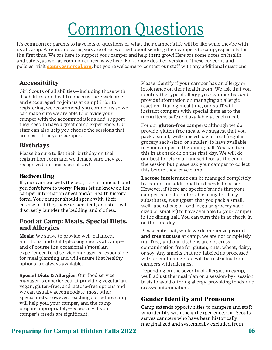## Common Questions

It's common for parents to have lots of questions of what their camper's life will be like while they're with us at camp. Parents and caregivers are often worried about sending their campers to camp, especially for the first time. We are here to support your camper and help them grow! Here are some notes on health and safety, as well as common concerns we hear. For a more detailed version of these concerns and policies, visit **[camp.gsnorcal.org](http://camp.gsnorcal.org/)**, but you're welcome to contact our staff with any additional questions.

#### **Accessibility**

Girl Scouts of all abilities—including those with disabilities and health concerns—are welcome and encouraged to join us at camp! Prior to registering, we recommend you contact us so we can make sure we are able to provide your camper with the accommodations and support they need to have a great camp experience. Our staff can also help you choose the sessions that are best fit for your camper.

#### **Birthdays**

Please be sure to list their birthday on their registration form and we'll make sure they get recognized on their special day!

#### **Bedwetting**

If your camper wets the bed, it's not unusual, and you don't have to worry. Please let us know on the camper information sheet and/or health history form. Your camper should speak with their counselor if they have an accident, and staff will discreetly launder the bedding and clothes.

#### **Food at Camp: Meals, Special Diets, and Allergies**

**Meals:** We strive to provide well-balanced, nutritious and child-pleasing menus at camp and of course the occasional s'more! An experienced food service manager is responsible for meal planning and will ensure that healthy options are always available.

**Special Diets & Allergies:** Our food service manager is experienced at providing vegetarian, vegan, gluten-free, and lactose-free options and we can usually accommodate most other special diets; however, reaching out before camp will help you, your camper, and the camp prepare appropriately—especially if your camper's needs are significant.

Please identify if your camper has an allergy or intolerance on their health from. We ask that you identify the type of allergy your camper has and provide information on managing an allergic reaction. During meal time, our staff will instruct campers with special diets as to the menu items safe and available at each meal.

For our **gluten-free** campers: although we do provide gluten-free meals, we suggest that you pack a small, well-labeled bag of food (regular grocery sack-sized or smaller) to have available to your camper in the dining hall. You can turn this in at check-in on the first day. We will do our best to return all unused food at the end of the session but please ask your camper to collect this before they leave camp.

**Lactose intolerance** can be managed completely by camp—no additional food needs to be sent. However, if there are specific brands that your camper is most comfortable using for dairy substitutes, we suggest that you pack a small, well-labeled bag of food (regular grocery sacksized or smaller) to have available to your camper in the dining hall. You can turn this in at check-in on the first day.

Please note that, while we do minimize **peanut and tree nut use** at camp, we are not completely nut-free, and our kitchens are not crosscontamination free for gluten, nuts, wheat, dairy, or soy. Any snacks that are labeled as processed with or containing nuts will be restricted from campers with allergies.

Depending on the severity of allergies in camp, we'll adjust the meal plan on a session-by- session basis to avoid offering allergy-provoking foods and cross-contamination.

#### **Gender Identity and Pronouns**

Camp extends opportunities to campers and staff who identify with the girl experience. Girl Scouts serves campers who have been historically marginalized and systemically excluded from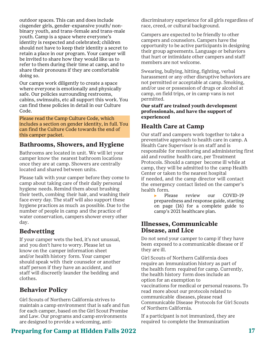outdoor spaces. This can and does include cisgender girls, gender-expansive youth/ nonbinary youth, and trans-female and trans-male youth. Camp is a space where everyone's identity is respected and celebrated; children should not have to keep their identity a secret to retain a place in our program. Your camper will be invited to share how they would like us to refer to them during their time at camp, and to share their pronouns if they are comfortable doing so.

Our camps work diligently to create a space where everyone is emotionally and physically safe. Our policies surrounding restrooms, cabins, swimsuits, etc all support this work. You can find these policies in detail in our Culture Code.

Please read the Camp Culture Code, which includes a section on gender identity, in full. You can find the Culture Code towards the end of this camper packet.

#### **Bathrooms, Showers, and Hygiene**

Bathrooms are located in unit. We will let your camper know the nearest bathroom locations once they are at camp. Showers are centrally located and shared between units.

Please talk with your camper before they come to camp about taking care of their daily personal hygiene needs. Remind them about brushing their teeth, combing their hair, and washing their face every day. The staff will also support these hygiene practices as much as possible. Due to the number of people in camp and the practice of water conservation, campers shower every other day.

#### **Bedwetting**

If your camper wets the bed, it's not unusual, and you don't have to worry. Please let us know on the camper information sheet and/or health history form. Your camper should speak with their counselor or another staff person if they have an accident, and staff will discreetly launder the bedding and clothes.

#### **Behavior Policy**

Girl Scouts of Northern California strives to maintain a camp environment that is safe and fun for each camper, based on the Girl Scout Promise and Law. Our programs and camp environments are designed to provide a welcoming, anti-

#### **Preparing for Camp at Hidden Falls 2022 17**

discriminatory experience for all girls regardless of race, creed, or cultural background.

Campers are expected to be friendly to other campers and counselors. Campers have the opportunity to be active participants in designing their group agreements. Language or behaviors that hurt or intimidate other campers and staff members are not welcome.

Swearing, bullying, hitting, fighting, verbal harassment or any other disruptive behaviors are not permitted or acceptable at camp. Smoking, and/or use or possession of drugs or alcohol at camp, on field trips, or in camp vans is not permitted.

**Our staff are trained youth development professionals, and have the support of experienced**

## **Health Care at Camp**

Our staff and campers work together to take a preventative approach to health care in camp. A Health Care Supervisor is on staff and is responsible for monitoring and administering first aid and routine health care, per Treatment Protocols. Should a camper become ill while at camp, they will be admitted to the camp Health Center or taken to the nearest hospital if needed, and the camp director will contact the emergency contact listed on the camper's health form.

⇨ Please review our COVID-19 preparedness and response guide, starting on page (16) for a complete guide to camp's 2021 healthcare plan.

#### **Illnesses, Communicable Disease, and Lice**

Do not send your camper to camp if they have been exposed to a communicable disease or if they are ill.

Girl Scouts of Northern California does require an immunization history as part of the health form required for camp. Currently, the health history form does include an option for an exemption to vaccinations for medical or personal reasons. To read more about our protocols related to communicable diseases, please read Communicable Disease Protocols for Girl Scouts of Northern California.

If a participant is not immunized, they are required to complete the Immunization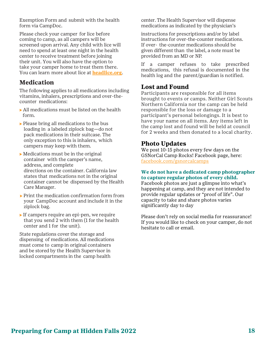Exemption Form and submit with the health form via CampDoc.

Please check your camper for lice before coming to camp, as all campers will be screened upon arrival. Any child with lice will need to spend at least one night in the health center to receive treatment before joining their unit. You will also have the option to take your camper home to treat them there. You can learn more about lice at **[headlice.org](https://www.headlice.org/comb/)**.

#### **Medication**

The following applies to all medications including vitamins, inhalers, prescriptions and over-thecounter medications:

- ⇨ All medications must be listed on the health form.
- ⇨ Please bring all medications to the bus loading in a labeled ziplock bag—do not pack medications in their suitcase. The only exception to this is inhalers, which campers may keep with them.
- $\triangleright$  Medications must be in the original container with the camper's name, address, and complete directions on the container. California law states that medications not in the original container cannot be dispensed by the Health Care Manager.
- ⇨ Print the medication confirmation form from your CampDoc account and include it in the ziplock bag.
- ⇨ If campers require an epi-pen, we require that you send 2 with them (1 for the health center and 1 for the unit).

State regulations cover the storage and dispensing of medications. All medications must come to camp in original containers and be stored by the Health Supervisor in locked compartments in the camp health

center. The Health Supervisor will dispense medications as indicated by the physician's

instructions for prescriptions and/or by label instructions for over-the-counter medications. If over- the-counter medications should be given different than the label, a note must be provided from an MD or NP.

If a camper refuses to take prescribed medications, this refusal is documented in the health log and the parent/guardian is notified.

#### **Lost and Found**

Participants are responsible for all items brought to events or camps. Neither Girl Scouts Northern California nor the camp can be held responsible for the loss or damage to a participant's personal belongings. It is best to have your name on all items. Any items left in the camp lost and found will be held at council for 2 weeks and then donated to a local charity.

#### **Photo Updates**

We post 10-15 photos every few days on the GSNorCal Camp Rocks! Facebook page, here: [facebook.com/gsnorcalcamps](file:///C:/Users/kconnon/Desktop/Camp%202021/Info%20Packets/facebook.com/gsnorcalcamps)

#### **We do not have a dedicated camp photographer to capture regular photos of every child.**

Facebook photos are just a glimpse into what's happening at camp, and they are not intended to provide regular updates or "proof of life". Our capacity to take and share photos varies significantly day to day

Please don't rely on social media for reassurance! If you would like to check on your camper, do not hesitate to call or email.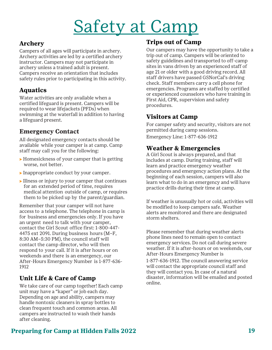## Safety at Camp

### **Archery**

Campers of all ages will participate in archery. Archery activities are led by a certified archery instructor. Campers may not participate in archery unless a trained adult is present. Campers receive an orientation that includes safety rules prior to participating in this activity.

## **Aquatics**

Water activities are only available when a certified lifeguard is present. Campers will be required to wear lifejackets (PFDs) when swimming at the waterfall in addition to having a lifeguard present.

## **Emergency Contact**

All designated emergency contacts should be available while your camper is at camp. Camp staff may call you for the following:

- ⇨ Homesickness of your camper that is getting worse, not better.
- ⇨ Inappropriate conduct by your camper.
- ⇨ Illness or injury to your camper that continues for an extended period of time, requires medical attention outside of camp, or requires them to be picked up by the parent/guardian.

Remember that your camper will not have access to a telephone. The telephone in camp is for business and emergencies only. If you have an urgent need to talk with your camper, contact the Girl Scout office first: 1-800-447- 4475 ext 2091. During business hours (M–F, 8:30 AM–5:30 PM), the council staff will contact the camp director, who will then respond to your call. If it is after hours or on weekends and there is an emergency, our After-Hours Emergency Number is 1-877-636- 1912

## **Unit Life & Care of Camp**

We take care of our camp together! Each camp unit may have a "kaper" or job each day. Depending on age and ability, campers may handle nontoxic cleaners in spray bottles to clean frequent touch and common areas. All campers are instructed to wash their hands after cleaning.

## **Trips out of Camp**

Our campers may have the opportunity to take a trip out of camp. Campers will be oriented to safety guidelines and transported to off-camp sites in vans driven by an experienced staff of age 21 or older with a good driving record. All staff drivers have passed GSNorCal's driving check. Staff members carry a cell phone for emergencies. Programs are staffed by certified or experienced counselors who have training in First Aid, CPR, supervision and safety procedures.

#### **Visitors at Camp**

For camper safety and security, visitors are not permitted during camp sessions. Emergency Line: 1-877-636-1912

#### **Weather & Emergencies**

A Girl Scout is always prepared, and that includes at camp. During training, staff will learn and practice emergency weather procedures and emergency action plans. At the beginning of each session, campers will also learn what to do in an emergency and will have practice drills during their time at camp.

If weather is unusually hot or cold, activities will be modified to keep campers safe. Weather alerts are monitored and there are designated storm shelters.

Please remember that during weather alerts phone lines need to remain open to contact emergency services. Do not call during severe weather. If it is after-hours or on weekends, our After-Hours Emergency Number is

1-877-636-1912. The council answering service will contact the appropriate council staff and they will contact you. In case of a natural disaster, information will be emailed and posted online.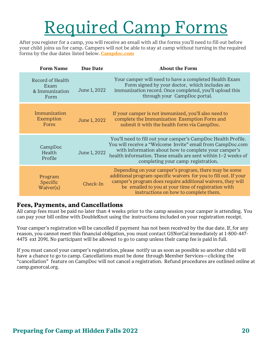## Required Camp Forms

After you register for a camp, you will receive an email with all the forms you'll need to fill out before your child joins us for camp. Campers will not be able to stay at camp without turning in the required forms by the due dates listed below. **[Campdoc.com](https://app.campdoc.com/!/home/auth/login)**

| <b>Form Name</b>                                   | <b>Due Date</b> | <b>About the Form</b>                                                                                                                                                                                                                                                                      |
|----------------------------------------------------|-----------------|--------------------------------------------------------------------------------------------------------------------------------------------------------------------------------------------------------------------------------------------------------------------------------------------|
| Record of Health<br>Exam<br>& Immunization<br>Form | June 1, 2022    | Your camper will need to have a completed Health Exam<br>Form signed by your doctor, which includes an<br>immunization record. Once completed, you'll upload this<br>through your CampDoc portal.                                                                                          |
| Immunization<br>Exemption<br>Form                  | June 1, 2022    | If your camper is not immunized, you'll also need to<br>complete the Immunization Exemption Form and<br>submit it with the health form via CampDoc.                                                                                                                                        |
| CampDoc<br>Health<br>Profile                       | June 1, 2022    | You'll need to fill out your camper's CampDoc Health Profile.<br>You will receive a "Welcome Invite" email from CampDoc.com<br>with information about how to complete your camper's<br>health information. These emails are sent within 1-2 weeks of<br>completing your camp registration. |
| Program<br>Specific<br>Waiver(s)                   | Check-In        | Depending on your camper's program, there may be some<br>additional program-specific waivers for you to fill out. If your<br>camper's program does require additional waivers, they will<br>be emailed to you at your time of registration with<br>instructions on how to complete them.   |

#### **Fees, Payments, and Cancellations**

All camp fees must be paid no later than 4 weeks prior to the camp session your camper is attending. You can pay your bill online with DoubleKnot using the instructions included on your registration receipt.

Your camper's registration will be cancelled if payment has not been received by the due date. If, for any reason, you cannot meet this financial obligation, you must contact GSNorCal immediately at 1-800-447- 4475 ext 2091. No participant will be allowed to go to camp unless their camp fee is paid in full.

If you must cancel your camper's registration, please notify us as soon as possible so another child will have a chance to go to camp. Cancellations must be done through Member Services—clicking the "cancellation" feature on CampDoc will not cancel a registration. Refund procedures are outlined online at camp.gsnorcal.org.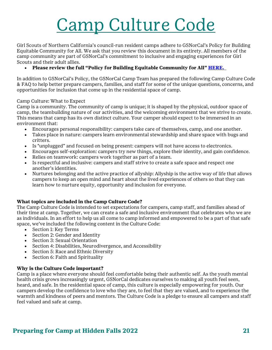## Camp Culture Code

Girl Scouts of Northern California's council-run resident camps adhere to GSNorCal's Policy for Building Equitable Community for All. We ask that you review this document in its entirety. All members of the camp community are part of GSNorCal's commitment to inclusive and engaging experiences for Girl Scouts and their adult allies.

#### • Please review the full "Policy for Building Equitable Community for All" **[HERE.](https://www.gsnorcal.org/content/dam/girlscouts-gsnorcal/documents/volunteer_resources/volunteer-essentials/volunteering-volunteer-policy.pdf)**

In addition to GSNorCal's Policy, the GSNorCal Camp Team has prepared the following Camp Culture Code & FAQ to help better prepare campers, families, and staff for some of the unique questions, concerns, and opportunities for inclusion that come up in the residential space of camp.

#### Camp Culture: What to Expect

Camp is a community. The community of camp is unique; it is shaped by the physical, outdoor space of camp, the teambuilding nature of our activities, and the welcoming environment that we strive to create. This means that camp has its own distinct culture. Your camper should expect to be immersed in an environment that:

- Encourages personal responsibility: campers take care of themselves, camp, and one another.
- Takes place in nature: campers learn environmental stewardship and share space with bugs and critters.
- Is "unplugged" and focused on being present: campers will not have access to electronics.
- Encourages self-exploration: campers try new things, explore their identity, and gain confidence.
- Relies on teamwork: campers work together as part of a team.
- Is respectful and inclusive: campers and staff strive to create a safe space and respect one another's identities.
- Nurtures belonging and the active practice of allyship: Allyship is the active way of life that allows campers to keep an open mind and heart about the lived experiences of others so that they can learn how to nurture equity, opportunity and inclusion for everyone.

#### **What topics are included in the Camp Culture Code?**

The Camp Culture Code is intended to set expectations for campers, camp staff, and families ahead of their time at camp. Together, we can create a safe and inclusive environment that celebrates who we are as individuals. In an effort to help us all come to camp informed and empowered to be a part of that safe space, we've included the following content in the Culture Code:

- Section 1: Key Terms
- Section 2: Gender and Identity
- Section 3: Sexual Orientation
- Section 4: Disabilities, Neurodivergence, and Accessibility
- Section 5: Race and Ethnic Diversity
- Section 6: Faith and Spirituality

#### **Why is the Culture Code important?**

Camp is a place where everyone should feel comfortable being their authentic self. As the youth mental health crisis grows increasingly urgent, GSNorCal dedicates ourselves to making all youth feel seen, heard, and safe. In the residential space of camp, this culture is especially empowering for youth. Our campers develop the confidence to love who they are, to feel that they are valued, and to experience the warmth and kindness of peers and mentors. The Culture Code is a pledge to ensure all campers and staff feel valued and safe at camp.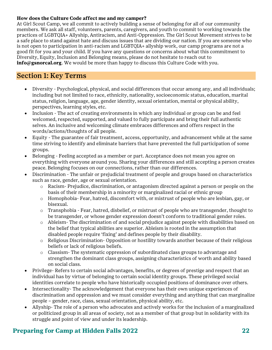#### **How does the Culture Code affect me and my camper?**

At Girl Scout Camp, we all commit to actively building a sense of belonging for all of our community members. We ask all staff, volunteers, parents, caregivers, and youth to commit to working towards the practices of LGBTQIA+ Allyship, Antiracism, and Anti-Oppression. The Girl Scout Movement strives to be a safe place to stand against hate and discuss issues that are dividing our nation. If you are someone who is not open to participation in anti-racism and LGBTQIA+ allyship work, our camp programs are not a good fit for you and your child. If you have any questions or concerns about what this commitment to Diversity, Equity, Inclusion and Belonging means, please do not hesitate to reach out to **[info@gsnorcal.org](mailto:info@gsnorcal.org)**. We would be more than happy to discuss this Culture Code with you.

#### Section 1: Key Terms

- Diversity Psychological, physical, and social differences that occur among any, and all individuals; including but not limited to race, ethnicity, nationality, socioeconomic status, education, marital status, religion, language, age, gender identity, sexual orientation, mental or physical ability, perspectives, learning styles, etc.
- Inclusion The act of creating environments in which any individual or group can be and feel welcomed, respected, supported, and valued to fully participate and bring their full authentic selves. An inclusive and welcoming climate embraces differences and offers respect in the words/actions/thoughts of all people.
- Equity The guarantee of fair treatment, access, opportunity, and advancement while at the same time striving to identify and eliminate barriers that have prevented the full participation of some groups.
- Belonging Feeling accepted as a member or part. Acceptance does not mean you agree on everything with everyone around you. Sharing your differences and still accepting a person creates peace. Belonging focuses on our connections, rather than our differences.
- Discrimination The unfair or prejudicial treatment of people and groups based on characteristics such as race, gender, age or sexual orientation.
	- o Racism- Prejudice, discrimination, or antagonism directed against a person or people on the basis of their membership in a minority or marginalized racial or ethnic group
	- o Homophobia- Fear, hatred, discomfort with, or mistrust of people who are lesbian, gay, or bisexual.
	- o Transphobia Fear, hatred, disbelief, or mistrust of people who are transgender, thought to be transgender, or whose gender expression doesn't conform to traditional gender roles.
	- o Ableism- The discrimination of and social prejudice against people with disabilities based on the belief that typical abilities are superior. Ableism is rooted in the assumption that disabled people require 'fixing' and defines people by their disability.
	- $\circ$  Religious Discrimination-Opposition or hostility towards another because of their religious beliefs or lack of religious beliefs.
	- o Classism- The systematic oppression of subordinated class groups to advantage and strengthen the dominant class groups, assigning characteristics of worth and ability based on social class.
- Privilege- Refers to certain social advantages, benefits, or degrees of prestige and respect that an individual has by virtue of belonging to certain social identity groups. These privileged social identities correlate to people who have historically occupied positions of dominance over others.
- Intersectionality- The acknowledgement that everyone has their own unique experiences of discrimination and oppression and we must consider everything and anything that can marginalize people – gender, race, class, sexual orientation, physical ability, etc.
- Allyship- The role of a person who advocates and actively works for the inclusion of a marginalized or politicized group in all areas of society, not as a member of that group but in solidarity with its struggle and point of view and under its leadership.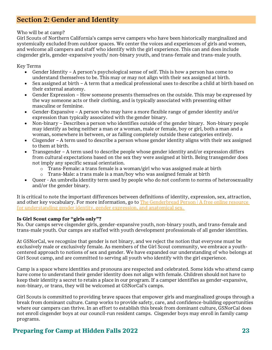## Section 2: Gender and Identity

#### Who will be at camp?

Girl Scouts of Northern California's camps serve campers who have been historically marginalized and systemically excluded from outdoor spaces. We center the voices and experiences of girls and women, and welcome all campers and staff who identify with the girl experience. This can and does include cisgender girls, gender-expansive youth/ non-binary youth, and trans-female and trans-male youth.

Key Terms

- Gender Identity A person's psychological sense of self. This is how a person has come to understand themselves to be. This may or may not align with their sex assigned at birth.
- Sex assigned at birth A term that a medical professional uses to describe a child at birth based on their external anatomy.
- Gender Expression How someone presents themselves on the outside. This may be expressed by the way someone acts or their clothing, and is typically associated with presenting either masculine or feminine.
- Gender-Expansive A person who may have a more flexible range of gender identity and/or expression than typically associated with the gender binary.
- Non-binary Describes a person who identifies outside of the gender binary. Non-binary people may identify as being neither a man or a woman, male or female, boy or girl, both a man and a woman, somewhere in between, or as falling completely outside these categories entirely.
- Cisgender A term used to describe a person whose gender identity aligns with their sex assigned to them at birth.
- Transgender A term used to describe people whose gender identity and/or expression differs from cultural expectations based on the sex they were assigned at birth. Being transgender does not imply any specific sexual orientation.
	- o Trans-Female: a trans female is a woman/girl who was assigned male at birth
	- o Trans-Male: a trans male is a man/boy who was assigned female at birth
- Queer An umbrella identity term used by people who do not conform to norms of heterosexuality and/or the gender binary.

It is critical to note the important differences between definitions of identity, expression, sex, attraction, and other key vocabulary. For more information, go to [The Genderbread Person | A free online resource](https://www.genderbread.org/)  [for understanding gender identity, gender expression, and anatomical sex.](https://www.genderbread.org/)

#### **Is Girl Scout camp for "girls only"?**

No. Our camps serve cisgender girls, gender-expansive youth, non-binary youth, and trans-female and trans-male youth. Our camps are staffed with youth development professionals of all gender identities.

At GSNorCal, we recognize that gender is not binary, and we reject the notion that everyone must be exclusively male or exclusively female. As members of the Girl Scout community, we embrace a youthcentered approach to notions of sex and gender. We have expanded our understanding of who belongs at Girl Scout camp, and are committed to serving all youth who identify with the girl experience.

Camp is a space where identities and pronouns are respected and celebrated. Some kids who attend camp have come to understand their gender identity does not align with female. Children should not have to keep their identity a secret to retain a place in our program. If a camper identifies as gender-expansive, non-binary, or trans, they will be welcomed at GSNorCal's camps.

Girl Scouts is committed to providing brave spaces that empower girls and marginalized groups through a break from dominant culture. Camp works to provide safety, care, and confidence-building opportunities where our campers can thrive. In an effort to establish this break from dominant culture, GSNorCal does not enroll cisgender boys at our council-run resident camps. Cisgender boys may enroll in family camp programs.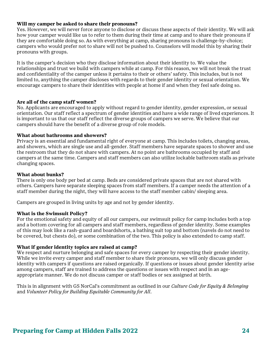#### **Will my camper be asked to share their pronouns?**

Yes. However, we will never force anyone to disclose or discuss these aspects of their identity. We will ask how your camper would like us to refer to them during their time at camp and to share their pronouns if they are comfortable doing so. As with everything at camp, sharing pronouns is challenge-by-choice; campers who would prefer not to share will not be pushed to. Counselors will model this by sharing their pronouns with groups.

It is the camper's decision who they disclose information about their identity to. We value the relationships and trust we build with campers while at camp. For this reason, we will not break the trust and confidentiality of the camper unless it pertains to their or others' safety. This includes, but is not limited to, anything the camper discloses with regards to their gender identity or sexual orientation. We encourage campers to share their identities with people at home if and when they feel safe doing so.

#### **Are all of the camp staff women?**

No. Applicants are encouraged to apply without regard to gender identity, gender expression, or sexual orientation. Our staff reflect a spectrum of gender identities and have a wide range of lived experiences. It is important to us that our staff reflect the diverse groups of campers we serve. We believe that our campers should have the benefit of a diverse group of role models.

#### **What about bathrooms and showers?**

Privacy is an essential and fundamental right of everyone at camp. This includes toilets, changing areas, and showers, which are single use and all-gender. Staff members have separate spaces to shower and use the restroom that they do not share with campers. At no point are bathrooms occupied by staff and campers at the same time. Campers and staff members can also utilize lockable bathroom stalls as private changing spaces.

#### **What about bunks?**

There is only one body per bed at camp. Beds are considered private spaces that are not shared with others. Campers have separate sleeping spaces from staff members. If a camper needs the attention of a staff member during the night, they will have access to the staff member cabin/ sleeping area.

Campers are grouped in living units by age and not by gender identity.

#### **What is the Swimsuit Policy?**

For the emotional safety and equity of all our campers, our swimsuit policy for camp includes both a top and a bottom covering for all campers and staff members, regardless of gender identity. Some examples of this may look like a rash-guard and boardshorts, a bathing suit top and bottom (navels do not need to be covered, but chests do), or some combination of the two. This policy is also extended to camp staff.

#### **What if gender identity topics are raised at camp?**

We respect and nurture belonging and safe spaces for every camper by respecting their gender identity. While we invite every camper and staff member to share their pronouns, we will only discuss gender identity with campers if questions are raised organically. If questions or issues about gender identity arise among campers, staff are trained to address the questions or issues with respect and in an ageappropriate manner. We do not discuss camper or staff bodies or sex assigned at birth.

This is in alignment with GS NorCal's commitment as outlined in our *Culture Code for Equity & Belonging* and *Volunteer Policy for Building Equitable Community for All*.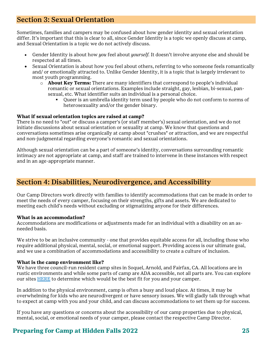## Section 3: Sexual Orientation

Sometimes, families and campers may be confused about how gender identity and sexual orientation differ. It's important that this is clear to all, since Gender Identity is a topic we openly discuss at camp, and Sexual Orientation is a topic we do not actively discuss.

- Gender Identity is about how *you* feel about *yourself.* It doesn't involve anyone else and should be respected at all times.
- Sexual Orientation is about how you feel about others, referring to who someone feels romantically and/ or emotionally attracted to. Unlike Gender Identity, it is a topic that is largely irrelevant to most youth programming.
	- o **About Key Terms:** There are many identifiers that correspond to people's individual romantic or sexual orientations. Examples include straight, gay, lesbian, bi-sexual, pansexual, etc. What identifier suits an individual is a personal choice.
		- Queer is an umbrella identity term used by people who do not conform to norms of heterosexuality and/or the gender binary.

#### **What if sexual orientation topics are raised at camp?**

There is no need to "out" or discuss a camper's (or staff member's) sexual orientation, and we do not initiate discussions about sexual orientation or sexuality at camp. We know that questions and conversations sometimes arise organically at camp about "crushes" or attraction, and we are respectful and non-judgmental regarding everyone's romantic and sexual orientations.

Although sexual orientation can be a part of someone's identity, conversations surrounding romantic intimacy are not appropriate at camp, and staff are trained to intervene in these instances with respect and in an age-appropriate manner.

## Section 4: Disabilities, Neurodivergence, and Accessibility

Our Camp Directors work directly with families to identify accommodations that can be made in order to meet the needs of every camper, focusing on their strengths, gifts and assets. We are dedicated to meeting each child's needs without excluding or stigmatizing anyone for their differences.

#### **What is an accommodation?**

Accommodations are modifications or adjustments made for an individual with a disability on an asneeded basis.

We strive to be an inclusive community - one that provides equitable access for all, including those who require additional physical, mental, social, or emotional support. Providing access is our ultimate goal, and we use a combination of accommodations and accessibility to create a culture of inclusion.

#### **What is the camp environment like?**

We have three council-run resident camp sites in Soquel, Arnold, and Fairfax, CA. All locations are in rustic environments and while some parts of camp are ADA accessible, not all parts are. You can explore our sites [HERE](https://camp.gsnorcal.org/about/camp-locations) to determine which would be the best fit for you and your camper.

In addition to the physical environment, camp is often a busy and loud place. At times, it may be overwhelming for kids who are neurodivergent or have sensory issues. We will gladly talk through what to expect at camp with you and your child, and can discuss accommodations to set them up for success.

If you have any questions or concerns about the accessibility of our camp properties due to physical, mental, social, or emotional needs of your camper, please contact the respective Camp Director.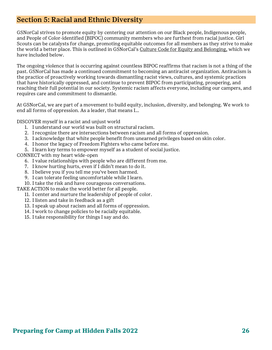## Section 5: Racial and Ethnic Diversity

GSNorCal strives to promote equity by centering our attention on our Black people, Indigenous people, and People of Color-identified (BIPOC) community members who are furthest from racial justice. Girl Scouts can be catalysts for change, promoting equitable outcomes for all members as they strive to make the world a better place. This is outlined in GSNorCal's [Culture Code for Equity and Belonging,](https://www.gsnorcal.org/en/our-council/about.html) which we have included below.

The ongoing violence that is occurring against countless BIPOC reaffirms that racism is not a thing of the past. GSNorCal has made a continued commitment to becoming an antiracist organization. Antiracism is the practice of proactively working towards dismantling racist views, cultures, and systemic practices that have historically oppressed, and continue to prevent BIPOC from participating, prospering, and reaching their full potential in our society. Systemic racism affects everyone, including our campers, and requires care and commitment to dismantle.

At GSNorCal, we are part of a movement to build equity, inclusion, diversity, and belonging. We work to end all forms of oppression. As a leader, that means I…

DISCOVER myself in a racist and unjust world

- 1. I understand our world was built on structural racism.
- 2. I recognize there are intersections between racism and all forms of oppression.
- 3. I acknowledge that white people benefit from unearned privileges based on skin color.
- 4. I honor the legacy of Freedom Fighters who came before me.
- 5. I learn key terms to empower myself as a student of social justice.

CONNECT with my heart wide-open

- 6. I value relationships with people who are different from me.
- 7. I know hurting hurts, even if I didn't mean to do it.
- 8. I believe you if you tell me you've been harmed.
- 9. I can tolerate feeling uncomfortable while I learn.
- 10. I take the risk and have courageous conversations.
- TAKE ACTION to make the world better for all people.

11. I center and nurture the leadership of people of color.

- 12. I listen and take in feedback as a gift
- 13. I speak up about racism and all forms of oppression.
- 14. I work to change policies to be racially equitable.
- 15. I take responsibility for things I say and do.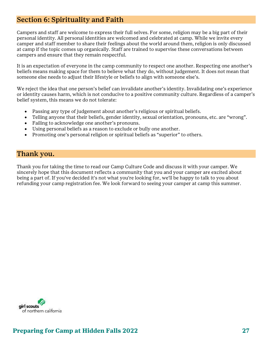## Section 6: Spirituality and Faith

Campers and staff are welcome to express their full selves. For some, religion may be a big part of their personal identity. All personal identities are welcomed and celebrated at camp. While we invite every camper and staff member to share their feelings about the world around them, religion is only discussed at camp if the topic comes up organically. Staff are trained to supervise these conversations between campers and ensure that they remain respectful.

It is an expectation of everyone in the camp community to respect one another. Respecting one another's beliefs means making space for them to believe what they do, without judgement. It does not mean that someone else needs to adjust their lifestyle or beliefs to align with someone else's.

We reject the idea that one person's belief can invalidate another's identity. Invalidating one's experience or identity causes harm, which is not conducive to a positive community culture. Regardless of a camper's belief system, this means we do not tolerate:

- Passing any type of judgement about another's religious or spiritual beliefs.
- Telling anyone that their beliefs, gender identity, sexual orientation, pronouns, etc. are "wrong".
- Failing to acknowledge one another's pronouns.
- Using personal beliefs as a reason to exclude or bully one another.
- Promoting one's personal religion or spiritual beliefs as "superior" to others.

#### Thank you.

Thank you for taking the time to read our Camp Culture Code and discuss it with your camper. We sincerely hope that this document reflects a community that you and your camper are excited about being a part of. If you've decided it's not what you're looking for, we'll be happy to talk to you about refunding your camp registration fee. We look forward to seeing your camper at camp this summer.

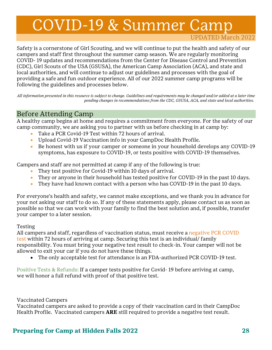## COVID-19 & Summer Camp

UPDATED March 2022

Safety is a cornerstone of Girl Scouting, and we will continue to put the health and safety of our campers and staff first throughout the summer camp season. We are regularly monitoring COVID- 19 updates and recommendations from the Center for Disease Control and Prevention (CDC), Girl Scouts of the USA (GSUSA), the American Camp Association (ACA), and state and local authorities, and will continue to adjust our guidelines and processes with the goal of providing a safe and fun outdoor experience. All of our 2022 summer camp programs will be following the guidelines and processes below.

*All information presented in this resource is subject to change. Guidelines and requirements may be changed and/or added at a later time pending changes in recommendations from the CDC, GSUSA, ACA, and state and local authorities.*

### Before Attending Camp

A healthy camp begins at home and requires a commitment from everyone. For the safety of our camp community, we are asking you to partner with us before checking in at camp by:

- Take a PCR Covid-19 Test within 72 hours of arrival.
- Upload Covid-19 Vaccination info in your CampDoc Health Profile.
- Be honest with us if your camper or someone in your household develops any COVID-19 symptoms, has exposure to COVID-19, or tests positive with COVID-19 themselves.

Campers and staff are not permitted at camp if any of the following is true:

- They test positive for Covid-19 within 10 days of arrival.
- They or anyone in their household has tested positive for COVID-19 in the past 10 days.
- They have had known contact with a person who has COVID-19 in the past 10 days.

For everyone's health and safety, we cannot make exceptions, and we thank you in advance for your not asking our staff to do so. If any of these statements apply, please contact us as soon as possible so that we can work with your family to find the best solution and, if possible, transfer your camper to a later session.

#### Testing

All campers and staff, regardless of vaccination status, must receive a negative PCR COVID [test](https://www.campgreystone.com/collections/covid-details/pre-camp-health-screening-quarantine#PCR) within 72 hours of arriving at camp. Securing this test is an individual/ family responsibility. You must bring your negative test result to check-in. Your camper will not be allowed to exit your car if you do not have these things.

• The only acceptable test for attendance is an FDA-authorized PCR COVID-19 test.

Positive Tests & Refunds: If a camper tests positive for Covid- 19 before arriving at camp, we will honor a full refund with proof of that positive test.

Vaccinated Campers

Vaccinated campers are asked to provide a copy of their vaccination card in their CampDoc Health Profile. Vaccinated campers **ARE** still required to provide a negative test result.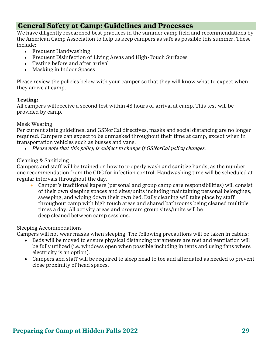## **General Safety at Camp: Guidelines and Processes**

We have diligently researched best practices in the summer camp field and recommendations by the American Camp Association to help us keep campers as safe as possible this summer. These include:

- Frequent Handwashing
- Frequent Disinfection of Living Areas and High-Touch Surfaces
- Testing before and after arrival
- Masking in Indoor Spaces

Please review the policies below with your camper so that they will know what to expect when they arrive at camp.

#### **Testing:**

All campers will receive a second test within 48 hours of arrival at camp. This test will be provided by camp.

#### Mask Wearing

Per current state guidelines, and GSNorCal directives, masks and social distancing are no longer required. Campers can expect to be unmasked throughout their time at camp, exceot when in transportation vehicles such as busses and vans.

• *Please note that this policy is subject to change if GSNorCal policy changes.* 

#### Cleaning & Sanitizing

Campers and staff will be trained on how to properly wash and sanitize hands, as the number one recommendation from the CDC for infection control. Handwashing time will be scheduled at regular intervals throughout the day.

• Camper's traditional kapers (personal and group camp care responsibilities) will consist of their own sleeping spaces and sites/units including maintaining personal belongings, sweeping, and wiping down their own bed. Daily cleaning will take place by staff throughout camp with high touch areas and shared bathrooms being cleaned multiple times a day. All activity areas and program group sites/units will be deep cleaned between camp sessions.

#### Sleeping Accommodations

Campers will not wear masks when sleeping. The following precautions will be taken in cabins:

- Beds will be moved to ensure physical distancing parameters are met and ventilation will be fully utilized (i.e. windows open when possible including in tents and using fans where electricity is an option).
- Campers and staff will be required to sleep head to toe and alternated as needed to prevent close proximity of head spaces.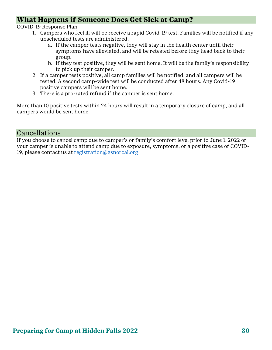## **What Happens if Someone Does Get Sick at Camp?**

COVID-19 Response Plan

- 1. Campers who feel ill will be receive a rapid Covid-19 test. Families will be notified if any unscheduled tests are administered.
	- a. If the camper tests negative, they will stay in the health center until their symptoms have alleviated, and will be retested before they head back to their group.
	- b. If they test positive, they will be sent home. It will be the family's responsibility to pick up their camper.
- 2. If a camper tests positive, all camp families will be notified, and all campers will be tested. A second camp-wide test will be conducted after 48 hours. Any Covid-19 positive campers will be sent home.
- 3. There is a pro-rated refund if the camper is sent home.

More than 10 positive tests within 24 hours will result in a temporary closure of camp, and all campers would be sent home.

## Cancellations

If you choose to cancel camp due to camper's or family's comfort level prior to June 1, 2022 or your camper is unable to attend camp due to exposure, symptoms, or a positive case of COVID-19, please contact us at [registration@gsnorcal.org](mailto:registration@gsnorcal.org)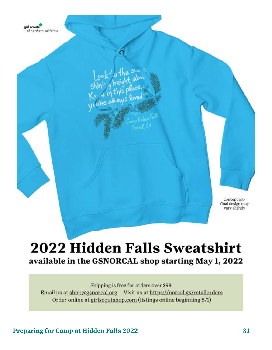

## **2022 Hidden Falls Sweatshirt** available in the GSNORCAL shop starting May 1, 2022

Shipping is free for orders over \$99! Email us at shop@gsnorcal.org Visit us at https://norcal.gs/retailorders Order online at girlscoutshop.com (listings online beginning 5/1)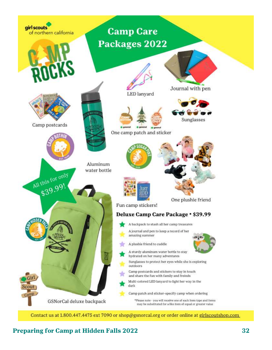

Contact us at 1.800.447.4475 ext 7090 or shop@gsnorcal.org or order online at girlscoutshop.com